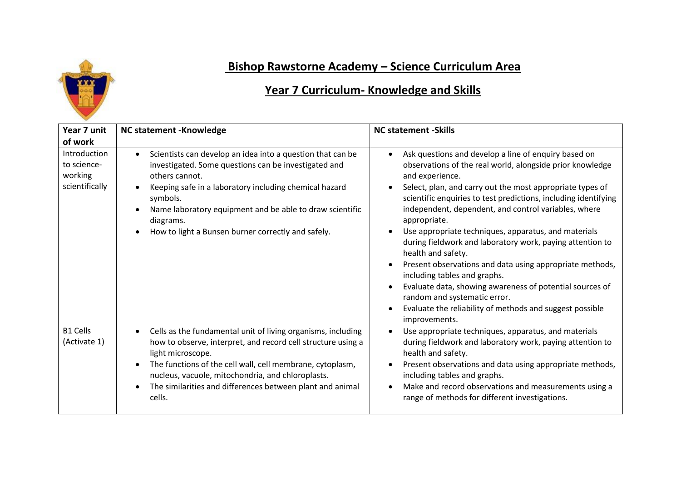

## **Bishop Rawstorne Academy – Science Curriculum Area**

## **Year 7 Curriculum- Knowledge and Skills**

| Year 7 unit                                              | <b>NC statement -Knowledge</b>                                                                                                                                                                                                                                                                                                                                       | <b>NC statement -Skills</b>                                                                                                                                                                                                                                                                                                                                                                                                                                                                                                                                                                                                                                                                                                                                               |  |
|----------------------------------------------------------|----------------------------------------------------------------------------------------------------------------------------------------------------------------------------------------------------------------------------------------------------------------------------------------------------------------------------------------------------------------------|---------------------------------------------------------------------------------------------------------------------------------------------------------------------------------------------------------------------------------------------------------------------------------------------------------------------------------------------------------------------------------------------------------------------------------------------------------------------------------------------------------------------------------------------------------------------------------------------------------------------------------------------------------------------------------------------------------------------------------------------------------------------------|--|
| of work                                                  |                                                                                                                                                                                                                                                                                                                                                                      |                                                                                                                                                                                                                                                                                                                                                                                                                                                                                                                                                                                                                                                                                                                                                                           |  |
| Introduction<br>to science-<br>working<br>scientifically | Scientists can develop an idea into a question that can be<br>$\bullet$<br>investigated. Some questions can be investigated and<br>others cannot.<br>Keeping safe in a laboratory including chemical hazard<br>$\bullet$<br>symbols.<br>Name laboratory equipment and be able to draw scientific<br>diagrams.<br>How to light a Bunsen burner correctly and safely.  | Ask questions and develop a line of enquiry based on<br>$\bullet$<br>observations of the real world, alongside prior knowledge<br>and experience.<br>Select, plan, and carry out the most appropriate types of<br>scientific enquiries to test predictions, including identifying<br>independent, dependent, and control variables, where<br>appropriate.<br>Use appropriate techniques, apparatus, and materials<br>during fieldwork and laboratory work, paying attention to<br>health and safety.<br>Present observations and data using appropriate methods,<br>including tables and graphs.<br>Evaluate data, showing awareness of potential sources of<br>random and systematic error.<br>Evaluate the reliability of methods and suggest possible<br>improvements. |  |
| <b>B1 Cells</b><br>(Activate 1)                          | Cells as the fundamental unit of living organisms, including<br>$\bullet$<br>how to observe, interpret, and record cell structure using a<br>light microscope.<br>The functions of the cell wall, cell membrane, cytoplasm,<br>$\bullet$<br>nucleus, vacuole, mitochondria, and chloroplasts.<br>The similarities and differences between plant and animal<br>cells. | Use appropriate techniques, apparatus, and materials<br>$\bullet$<br>during fieldwork and laboratory work, paying attention to<br>health and safety.<br>Present observations and data using appropriate methods,<br>including tables and graphs.<br>Make and record observations and measurements using a<br>range of methods for different investigations.                                                                                                                                                                                                                                                                                                                                                                                                               |  |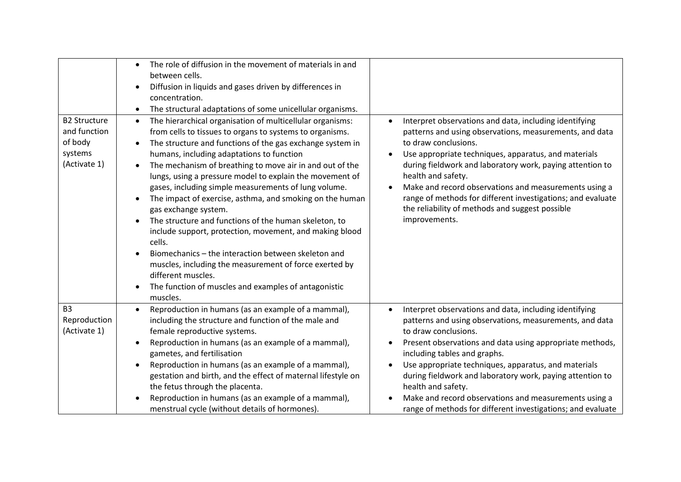| <b>B2 Structure</b><br>and function<br>of body<br>systems<br>(Activate 1) | The role of diffusion in the movement of materials in and<br>$\bullet$<br>between cells.<br>Diffusion in liquids and gases driven by differences in<br>$\bullet$<br>concentration.<br>The structural adaptations of some unicellular organisms.<br>$\bullet$<br>The hierarchical organisation of multicellular organisms:<br>$\bullet$<br>from cells to tissues to organs to systems to organisms.<br>The structure and functions of the gas exchange system in<br>$\bullet$<br>humans, including adaptations to function<br>The mechanism of breathing to move air in and out of the<br>$\bullet$<br>lungs, using a pressure model to explain the movement of<br>gases, including simple measurements of lung volume.<br>The impact of exercise, asthma, and smoking on the human<br>$\bullet$<br>gas exchange system.<br>The structure and functions of the human skeleton, to<br>$\bullet$<br>include support, protection, movement, and making blood<br>cells.<br>Biomechanics - the interaction between skeleton and<br>muscles, including the measurement of force exerted by<br>different muscles.<br>The function of muscles and examples of antagonistic<br>muscles. | Interpret observations and data, including identifying<br>$\bullet$<br>patterns and using observations, measurements, and data<br>to draw conclusions.<br>Use appropriate techniques, apparatus, and materials<br>during fieldwork and laboratory work, paying attention to<br>health and safety.<br>Make and record observations and measurements using a<br>range of methods for different investigations; and evaluate<br>the reliability of methods and suggest possible<br>improvements.            |
|---------------------------------------------------------------------------|-------------------------------------------------------------------------------------------------------------------------------------------------------------------------------------------------------------------------------------------------------------------------------------------------------------------------------------------------------------------------------------------------------------------------------------------------------------------------------------------------------------------------------------------------------------------------------------------------------------------------------------------------------------------------------------------------------------------------------------------------------------------------------------------------------------------------------------------------------------------------------------------------------------------------------------------------------------------------------------------------------------------------------------------------------------------------------------------------------------------------------------------------------------------------------|----------------------------------------------------------------------------------------------------------------------------------------------------------------------------------------------------------------------------------------------------------------------------------------------------------------------------------------------------------------------------------------------------------------------------------------------------------------------------------------------------------|
| <b>B3</b><br>Reproduction<br>(Activate 1)                                 | Reproduction in humans (as an example of a mammal),<br>$\bullet$<br>including the structure and function of the male and<br>female reproductive systems.<br>Reproduction in humans (as an example of a mammal),<br>$\bullet$<br>gametes, and fertilisation<br>Reproduction in humans (as an example of a mammal),<br>$\bullet$<br>gestation and birth, and the effect of maternal lifestyle on<br>the fetus through the placenta.<br>Reproduction in humans (as an example of a mammal),<br>menstrual cycle (without details of hormones).                                                                                                                                                                                                                                                                                                                                                                                                                                                                                                                                                                                                                                    | Interpret observations and data, including identifying<br>patterns and using observations, measurements, and data<br>to draw conclusions.<br>Present observations and data using appropriate methods,<br>including tables and graphs.<br>Use appropriate techniques, apparatus, and materials<br>during fieldwork and laboratory work, paying attention to<br>health and safety.<br>Make and record observations and measurements using a<br>range of methods for different investigations; and evaluate |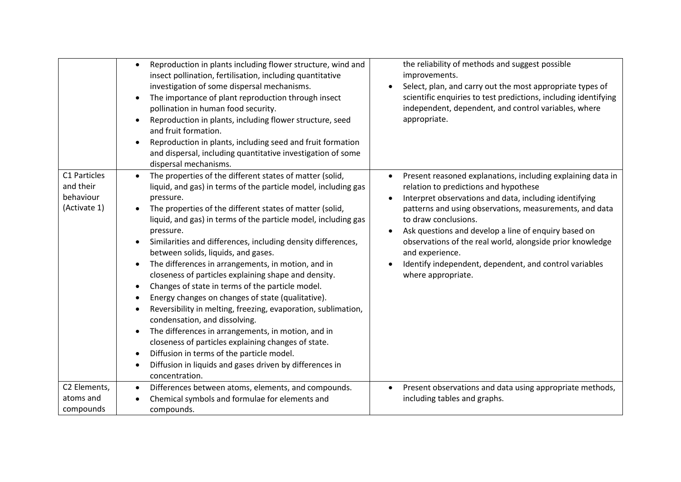|                                                        | Reproduction in plants including flower structure, wind and<br>$\bullet$<br>insect pollination, fertilisation, including quantitative<br>investigation of some dispersal mechanisms.<br>The importance of plant reproduction through insect<br>$\bullet$<br>pollination in human food security.<br>Reproduction in plants, including flower structure, seed<br>$\bullet$<br>and fruit formation.<br>Reproduction in plants, including seed and fruit formation<br>$\bullet$<br>and dispersal, including quantitative investigation of some<br>dispersal mechanisms.                                                                                                                                                                                                                                                                                                                                                                                                                                                                                                                         | the reliability of methods and suggest possible<br>improvements.<br>Select, plan, and carry out the most appropriate types of<br>scientific enquiries to test predictions, including identifying<br>independent, dependent, and control variables, where<br>appropriate.                                                                                                                                                                                                               |
|--------------------------------------------------------|---------------------------------------------------------------------------------------------------------------------------------------------------------------------------------------------------------------------------------------------------------------------------------------------------------------------------------------------------------------------------------------------------------------------------------------------------------------------------------------------------------------------------------------------------------------------------------------------------------------------------------------------------------------------------------------------------------------------------------------------------------------------------------------------------------------------------------------------------------------------------------------------------------------------------------------------------------------------------------------------------------------------------------------------------------------------------------------------|----------------------------------------------------------------------------------------------------------------------------------------------------------------------------------------------------------------------------------------------------------------------------------------------------------------------------------------------------------------------------------------------------------------------------------------------------------------------------------------|
| C1 Particles<br>and their<br>behaviour<br>(Activate 1) | The properties of the different states of matter (solid,<br>$\bullet$<br>liquid, and gas) in terms of the particle model, including gas<br>pressure.<br>The properties of the different states of matter (solid,<br>$\bullet$<br>liquid, and gas) in terms of the particle model, including gas<br>pressure.<br>Similarities and differences, including density differences,<br>$\bullet$<br>between solids, liquids, and gases.<br>The differences in arrangements, in motion, and in<br>$\bullet$<br>closeness of particles explaining shape and density.<br>Changes of state in terms of the particle model.<br>$\bullet$<br>Energy changes on changes of state (qualitative).<br>$\bullet$<br>Reversibility in melting, freezing, evaporation, sublimation,<br>$\bullet$<br>condensation, and dissolving.<br>The differences in arrangements, in motion, and in<br>$\bullet$<br>closeness of particles explaining changes of state.<br>Diffusion in terms of the particle model.<br>$\bullet$<br>Diffusion in liquids and gases driven by differences in<br>$\bullet$<br>concentration. | Present reasoned explanations, including explaining data in<br>relation to predictions and hypothese<br>Interpret observations and data, including identifying<br>$\bullet$<br>patterns and using observations, measurements, and data<br>to draw conclusions.<br>Ask questions and develop a line of enquiry based on<br>observations of the real world, alongside prior knowledge<br>and experience.<br>Identify independent, dependent, and control variables<br>where appropriate. |
| C2 Elements,<br>atoms and                              | Differences between atoms, elements, and compounds.<br>$\bullet$                                                                                                                                                                                                                                                                                                                                                                                                                                                                                                                                                                                                                                                                                                                                                                                                                                                                                                                                                                                                                            | Present observations and data using appropriate methods,<br>including tables and graphs.                                                                                                                                                                                                                                                                                                                                                                                               |
| compounds                                              | Chemical symbols and formulae for elements and<br>compounds.                                                                                                                                                                                                                                                                                                                                                                                                                                                                                                                                                                                                                                                                                                                                                                                                                                                                                                                                                                                                                                |                                                                                                                                                                                                                                                                                                                                                                                                                                                                                        |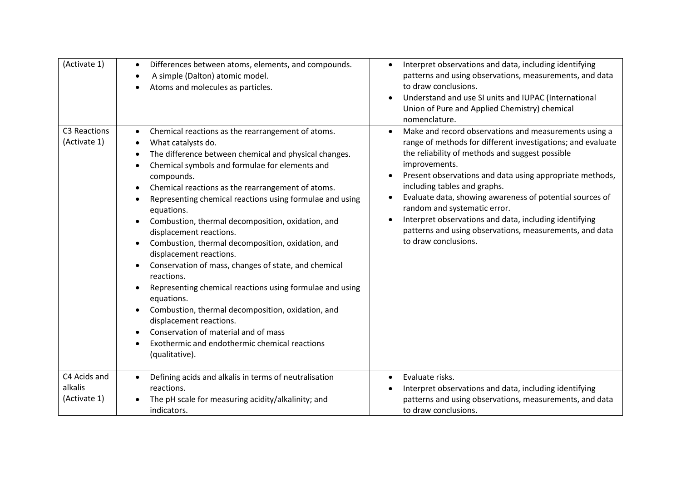| (Activate 1)                            | Differences between atoms, elements, and compounds.<br>$\bullet$<br>A simple (Dalton) atomic model.<br>$\bullet$<br>Atoms and molecules as particles.<br>$\bullet$                                                                                                                                                                                                                                                                                                                                                                                                                                                                                                                                                                                                                                                                                                                                                       | Interpret observations and data, including identifying<br>$\bullet$<br>patterns and using observations, measurements, and data<br>to draw conclusions.<br>Understand and use SI units and IUPAC (International<br>Union of Pure and Applied Chemistry) chemical<br>nomenclature.                                                                                                                                                                                                                                                                        |
|-----------------------------------------|--------------------------------------------------------------------------------------------------------------------------------------------------------------------------------------------------------------------------------------------------------------------------------------------------------------------------------------------------------------------------------------------------------------------------------------------------------------------------------------------------------------------------------------------------------------------------------------------------------------------------------------------------------------------------------------------------------------------------------------------------------------------------------------------------------------------------------------------------------------------------------------------------------------------------|---------------------------------------------------------------------------------------------------------------------------------------------------------------------------------------------------------------------------------------------------------------------------------------------------------------------------------------------------------------------------------------------------------------------------------------------------------------------------------------------------------------------------------------------------------|
| <b>C3 Reactions</b><br>(Activate 1)     | Chemical reactions as the rearrangement of atoms.<br>$\bullet$<br>What catalysts do.<br>$\bullet$<br>The difference between chemical and physical changes.<br>$\bullet$<br>Chemical symbols and formulae for elements and<br>compounds.<br>Chemical reactions as the rearrangement of atoms.<br>$\bullet$<br>Representing chemical reactions using formulae and using<br>equations.<br>Combustion, thermal decomposition, oxidation, and<br>displacement reactions.<br>Combustion, thermal decomposition, oxidation, and<br>displacement reactions.<br>Conservation of mass, changes of state, and chemical<br>$\bullet$<br>reactions.<br>Representing chemical reactions using formulae and using<br>equations.<br>Combustion, thermal decomposition, oxidation, and<br>$\bullet$<br>displacement reactions.<br>Conservation of material and of mass<br>Exothermic and endothermic chemical reactions<br>(qualitative). | Make and record observations and measurements using a<br>$\bullet$<br>range of methods for different investigations; and evaluate<br>the reliability of methods and suggest possible<br>improvements.<br>Present observations and data using appropriate methods,<br>including tables and graphs.<br>Evaluate data, showing awareness of potential sources of<br>$\bullet$<br>random and systematic error.<br>Interpret observations and data, including identifying<br>patterns and using observations, measurements, and data<br>to draw conclusions. |
| C4 Acids and<br>alkalis<br>(Activate 1) | Defining acids and alkalis in terms of neutralisation<br>$\bullet$<br>reactions.<br>The pH scale for measuring acidity/alkalinity; and<br>$\bullet$<br>indicators.                                                                                                                                                                                                                                                                                                                                                                                                                                                                                                                                                                                                                                                                                                                                                       | Evaluate risks.<br>$\bullet$<br>Interpret observations and data, including identifying<br>patterns and using observations, measurements, and data<br>to draw conclusions.                                                                                                                                                                                                                                                                                                                                                                               |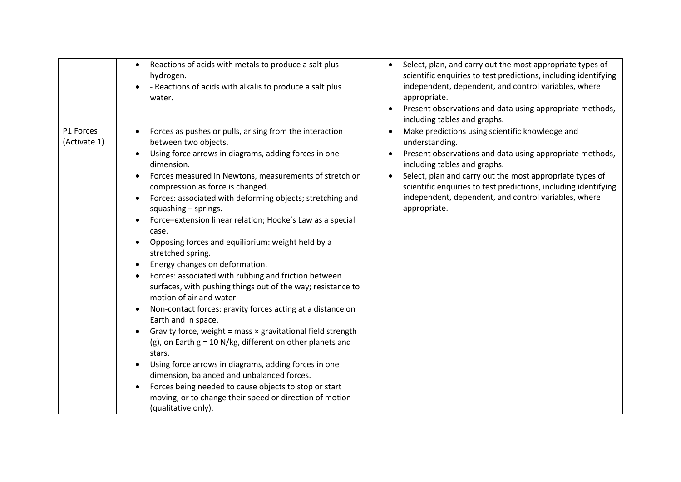|                           | Reactions of acids with metals to produce a salt plus<br>$\bullet$<br>hydrogen.<br>- Reactions of acids with alkalis to produce a salt plus<br>water.                                                                                                                                                                                                                                                                                                                                                                                                                                                                                                                                                                                                                                                                                                                                                                                                                                                                                                                                                                                                                                                                                                                        | Select, plan, and carry out the most appropriate types of<br>scientific enquiries to test predictions, including identifying<br>independent, dependent, and control variables, where<br>appropriate.<br>Present observations and data using appropriate methods,<br>including tables and graphs.                                                                                  |
|---------------------------|------------------------------------------------------------------------------------------------------------------------------------------------------------------------------------------------------------------------------------------------------------------------------------------------------------------------------------------------------------------------------------------------------------------------------------------------------------------------------------------------------------------------------------------------------------------------------------------------------------------------------------------------------------------------------------------------------------------------------------------------------------------------------------------------------------------------------------------------------------------------------------------------------------------------------------------------------------------------------------------------------------------------------------------------------------------------------------------------------------------------------------------------------------------------------------------------------------------------------------------------------------------------------|-----------------------------------------------------------------------------------------------------------------------------------------------------------------------------------------------------------------------------------------------------------------------------------------------------------------------------------------------------------------------------------|
| P1 Forces<br>(Activate 1) | Forces as pushes or pulls, arising from the interaction<br>between two objects.<br>Using force arrows in diagrams, adding forces in one<br>$\bullet$<br>dimension.<br>Forces measured in Newtons, measurements of stretch or<br>compression as force is changed.<br>Forces: associated with deforming objects; stretching and<br>$\bullet$<br>squashing - springs.<br>Force-extension linear relation; Hooke's Law as a special<br>case.<br>Opposing forces and equilibrium: weight held by a<br>stretched spring.<br>Energy changes on deformation.<br>$\bullet$<br>Forces: associated with rubbing and friction between<br>$\bullet$<br>surfaces, with pushing things out of the way; resistance to<br>motion of air and water<br>Non-contact forces: gravity forces acting at a distance on<br>$\bullet$<br>Earth and in space.<br>Gravity force, weight = mass $\times$ gravitational field strength<br>$\bullet$<br>$(g)$ , on Earth $g = 10$ N/kg, different on other planets and<br>stars.<br>Using force arrows in diagrams, adding forces in one<br>$\bullet$<br>dimension, balanced and unbalanced forces.<br>Forces being needed to cause objects to stop or start<br>$\bullet$<br>moving, or to change their speed or direction of motion<br>(qualitative only). | Make predictions using scientific knowledge and<br>$\bullet$<br>understanding.<br>Present observations and data using appropriate methods,<br>including tables and graphs.<br>Select, plan and carry out the most appropriate types of<br>scientific enquiries to test predictions, including identifying<br>independent, dependent, and control variables, where<br>appropriate. |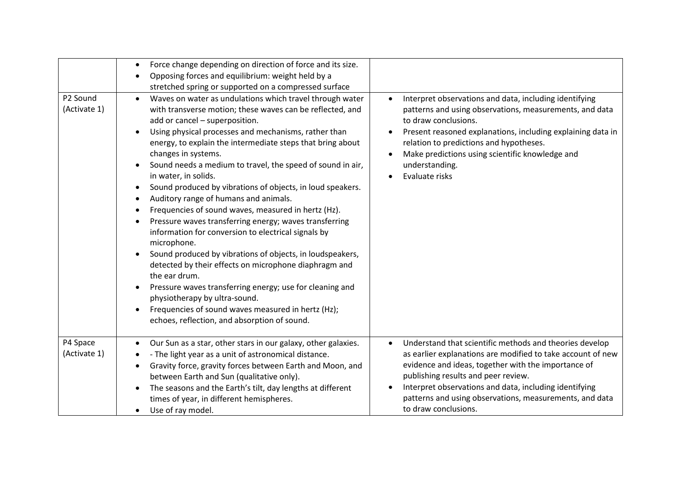| P2 Sound<br>(Activate 1) | Force change depending on direction of force and its size.<br>$\bullet$<br>Opposing forces and equilibrium: weight held by a<br>$\bullet$<br>stretched spring or supported on a compressed surface<br>Waves on water as undulations which travel through water<br>$\bullet$<br>with transverse motion; these waves can be reflected, and<br>add or cancel - superposition.<br>Using physical processes and mechanisms, rather than<br>$\bullet$<br>energy, to explain the intermediate steps that bring about<br>changes in systems.<br>Sound needs a medium to travel, the speed of sound in air,<br>in water, in solids.<br>Sound produced by vibrations of objects, in loud speakers.<br>$\bullet$<br>Auditory range of humans and animals.<br>$\bullet$<br>Frequencies of sound waves, measured in hertz (Hz).<br>$\bullet$<br>Pressure waves transferring energy; waves transferring<br>$\bullet$<br>information for conversion to electrical signals by<br>microphone.<br>Sound produced by vibrations of objects, in loudspeakers,<br>$\bullet$<br>detected by their effects on microphone diaphragm and<br>the ear drum.<br>Pressure waves transferring energy; use for cleaning and<br>$\bullet$<br>physiotherapy by ultra-sound.<br>Frequencies of sound waves measured in hertz (Hz);<br>echoes, reflection, and absorption of sound. | Interpret observations and data, including identifying<br>$\bullet$<br>patterns and using observations, measurements, and data<br>to draw conclusions.<br>Present reasoned explanations, including explaining data in<br>$\bullet$<br>relation to predictions and hypotheses.<br>Make predictions using scientific knowledge and<br>understanding.<br>Evaluate risks           |
|--------------------------|--------------------------------------------------------------------------------------------------------------------------------------------------------------------------------------------------------------------------------------------------------------------------------------------------------------------------------------------------------------------------------------------------------------------------------------------------------------------------------------------------------------------------------------------------------------------------------------------------------------------------------------------------------------------------------------------------------------------------------------------------------------------------------------------------------------------------------------------------------------------------------------------------------------------------------------------------------------------------------------------------------------------------------------------------------------------------------------------------------------------------------------------------------------------------------------------------------------------------------------------------------------------------------------------------------------------------------------------------|--------------------------------------------------------------------------------------------------------------------------------------------------------------------------------------------------------------------------------------------------------------------------------------------------------------------------------------------------------------------------------|
| P4 Space<br>(Activate 1) | Our Sun as a star, other stars in our galaxy, other galaxies.<br>$\bullet$<br>- The light year as a unit of astronomical distance.<br>$\bullet$<br>Gravity force, gravity forces between Earth and Moon, and<br>$\bullet$<br>between Earth and Sun (qualitative only).<br>The seasons and the Earth's tilt, day lengths at different<br>$\bullet$<br>times of year, in different hemispheres.<br>Use of ray model.<br>$\bullet$                                                                                                                                                                                                                                                                                                                                                                                                                                                                                                                                                                                                                                                                                                                                                                                                                                                                                                                  | Understand that scientific methods and theories develop<br>$\bullet$<br>as earlier explanations are modified to take account of new<br>evidence and ideas, together with the importance of<br>publishing results and peer review.<br>Interpret observations and data, including identifying<br>patterns and using observations, measurements, and data<br>to draw conclusions. |